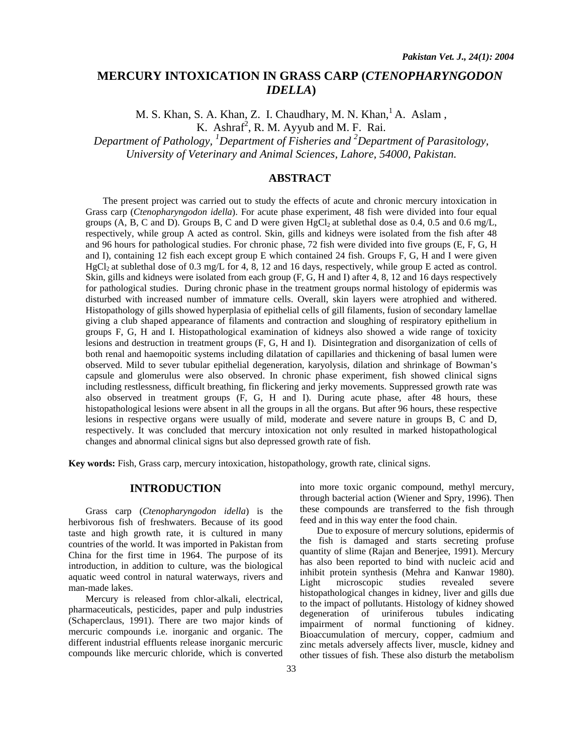# **MERCURY INTOXICATION IN GRASS CARP (***CTENOPHARYNGODON IDELLA***)**

M. S. Khan, S. A. Khan, Z. I. Chaudhary, M. N. Khan, A. Aslam, K. Ashraf<sup>2</sup>, R. M. Ayyub and M. F. Rai.

*Department of Pathology, 1 Department of Fisheries and 2 Department of Parasitology, University of Veterinary and Animal Sciences, Lahore, 54000, Pakistan.* 

# **ABSTRACT**

The present project was carried out to study the effects of acute and chronic mercury intoxication in Grass carp (*Ctenopharyngodon idella*). For acute phase experiment, 48 fish were divided into four equal groups (A, B, C and D). Groups B, C and D were given  $HgCl<sub>2</sub>$  at sublethal dose as 0.4, 0.5 and 0.6 mg/L, respectively, while group A acted as control. Skin, gills and kidneys were isolated from the fish after 48 and 96 hours for pathological studies. For chronic phase, 72 fish were divided into five groups (E, F, G, H and I), containing 12 fish each except group E which contained 24 fish. Groups F, G, H and I were given  $HgCl<sub>2</sub>$  at sublethal dose of 0.3 mg/L for 4, 8, 12 and 16 days, respectively, while group E acted as control. Skin, gills and kidneys were isolated from each group (F, G, H and I) after 4, 8, 12 and 16 days respectively for pathological studies. During chronic phase in the treatment groups normal histology of epidermis was disturbed with increased number of immature cells. Overall, skin layers were atrophied and withered. Histopathology of gills showed hyperplasia of epithelial cells of gill filaments, fusion of secondary lamellae giving a club shaped appearance of filaments and contraction and sloughing of respiratory epithelium in groups F, G, H and I. Histopathological examination of kidneys also showed a wide range of toxicity lesions and destruction in treatment groups (F, G, H and I). Disintegration and disorganization of cells of both renal and haemopoitic systems including dilatation of capillaries and thickening of basal lumen were observed. Mild to sever tubular epithelial degeneration, karyolysis, dilation and shrinkage of Bowman's capsule and glomerulus were also observed. In chronic phase experiment, fish showed clinical signs including restlessness, difficult breathing, fin flickering and jerky movements. Suppressed growth rate was also observed in treatment groups (F, G, H and I). During acute phase, after 48 hours, these histopathological lesions were absent in all the groups in all the organs. But after 96 hours, these respective lesions in respective organs were usually of mild, moderate and severe nature in groups B, C and D, respectively. It was concluded that mercury intoxication not only resulted in marked histopathological changes and abnormal clinical signs but also depressed growth rate of fish.

**Key words:** Fish, Grass carp, mercury intoxication, histopathology, growth rate, clinical signs.

# **INTRODUCTION**

Grass carp (*Ctenopharyngodon idella*) is the herbivorous fish of freshwaters. Because of its good taste and high growth rate, it is cultured in many countries of the world. It was imported in Pakistan from China for the first time in 1964. The purpose of its introduction, in addition to culture, was the biological aquatic weed control in natural waterways, rivers and man-made lakes.

Mercury is released from chlor-alkali, electrical, pharmaceuticals, pesticides, paper and pulp industries (Schaperclaus, 1991). There are two major kinds of mercuric compounds i.e. inorganic and organic. The different industrial effluents release inorganic mercuric compounds like mercuric chloride, which is converted

into more toxic organic compound, methyl mercury, through bacterial action (Wiener and Spry, 1996). Then these compounds are transferred to the fish through feed and in this way enter the food chain.

Due to exposure of mercury solutions, epidermis of the fish is damaged and starts secreting profuse quantity of slime (Rajan and Benerjee, 1991). Mercury has also been reported to bind with nucleic acid and inhibit protein synthesis (Mehra and Kanwar 1980). Light microscopic studies revealed severe histopathological changes in kidney, liver and gills due to the impact of pollutants. Histology of kidney showed degeneration of uriniferous tubules indicating impairment of normal functioning of kidney. Bioaccumulation of mercury, copper, cadmium and zinc metals adversely affects liver, muscle, kidney and other tissues of fish. These also disturb the metabolism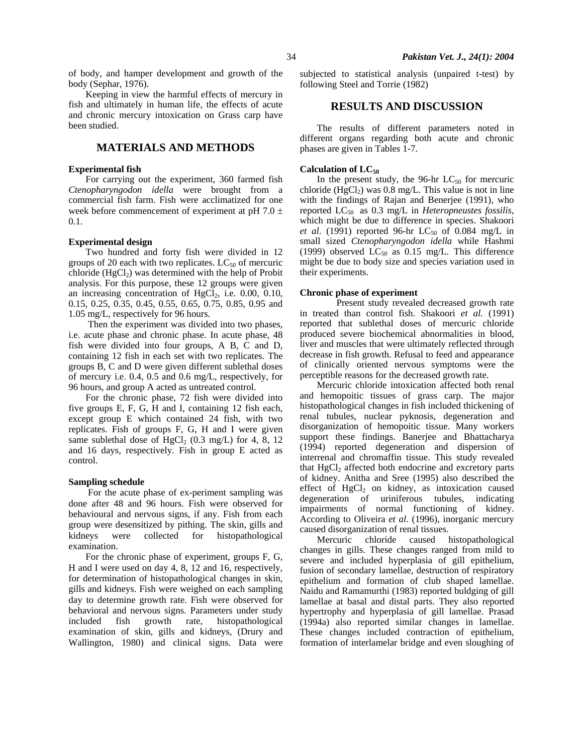of body, and hamper development and growth of the body (Sephar, 1976).

Keeping in view the harmful effects of mercury in fish and ultimately in human life, the effects of acute and chronic mercury intoxication on Grass carp have been studied.

# **MATERIALS AND METHODS**

### **Experimental fish**

For carrying out the experiment, 360 farmed fish *Ctenopharyngodon idella* were brought from a commercial fish farm. Fish were acclimatized for one week before commencement of experiment at pH 7.0  $\pm$ 0.1.

#### **Experimental design**

Two hundred and forty fish were divided in 12 groups of 20 each with two replicates.  $LC_{50}$  of mercuric chloride  $(HgCl<sub>2</sub>)$  was determined with the help of Probit analysis. For this purpose, these 12 groups were given an increasing concentration of  $HgCl<sub>2</sub>$ , i.e. 0.00, 0.10, 0.15, 0.25, 0.35, 0.45, 0.55, 0.65, 0.75, 0.85, 0.95 and 1.05 mg/L, respectively for 96 hours.

 Then the experiment was divided into two phases, i.e. acute phase and chronic phase. In acute phase, 48 fish were divided into four groups, A B, C and D, containing 12 fish in each set with two replicates. The groups B, C and D were given different sublethal doses of mercury i.e. 0.4, 0.5 and 0.6 mg/L, respectively, for 96 hours, and group A acted as untreated control.

For the chronic phase, 72 fish were divided into five groups E, F, G, H and I, containing 12 fish each, except group E which contained 24 fish, with two replicates. Fish of groups F, G, H and I were given same sublethal dose of  $HgCl<sub>2</sub>$  (0.3 mg/L) for 4, 8, 12 and 16 days, respectively. Fish in group E acted as control.

#### **Sampling schedule**

 For the acute phase of ex-periment sampling was done after 48 and 96 hours. Fish were observed for behavioural and nervous signs, if any. Fish from each group were desensitized by pithing. The skin, gills and kidneys were collected for histopathological examination.

For the chronic phase of experiment, groups F, G, H and I were used on day 4, 8, 12 and 16, respectively, for determination of histopathological changes in skin, gills and kidneys. Fish were weighed on each sampling day to determine growth rate. Fish were observed for behavioral and nervous signs. Parameters under study included fish growth rate, histopathological examination of skin, gills and kidneys, (Drury and Wallington, 1980) and clinical signs. Data were

subjected to statistical analysis (unpaired t-test) by following Steel and Torrie (1982)

# **RESULTS AND DISCUSSION**

The results of different parameters noted in different organs regarding both acute and chronic phases are given in Tables 1-7.

### Calculation of LC<sub>50</sub>

In the present study, the 96-hr  $LC_{50}$  for mercuric chloride (HgCl<sub>2</sub>) was 0.8 mg/L. This value is not in line with the findings of Rajan and Benerjee (1991), who reported LC50 as 0.3 mg/L in *Heteropneustes fossilis*, which might be due to difference in species. Shakoori *et al.* (1991) reported 96-hr  $LC_{50}$  of 0.084 mg/L in small sized *Ctenopharyngodon idella* while Hashmi (1999) observed  $LC_{50}$  as 0.15 mg/L. This difference might be due to body size and species variation used in their experiments.

### **Chronic phase of experiment**

Present study revealed decreased growth rate in treated than control fish. Shakoori *et al.* (1991) reported that sublethal doses of mercuric chloride produced severe biochemical abnormalities in blood, liver and muscles that were ultimately reflected through decrease in fish growth. Refusal to feed and appearance of clinically oriented nervous symptoms were the perceptible reasons for the decreased growth rate.

Mercuric chloride intoxication affected both renal and hemopoitic tissues of grass carp. The major histopathological changes in fish included thickening of renal tubules, nuclear pyknosis, degeneration and disorganization of hemopoitic tissue. Many workers support these findings. Banerjee and Bhattacharya (1994) reported degeneration and dispersion of interrenal and chromaffin tissue. This study revealed that  $HgCl<sub>2</sub>$  affected both endocrine and excretory parts of kidney. Anitha and Sree (1995) also described the effect of  $HgCl<sub>2</sub>$  on kidney, as intoxication caused degeneration of uriniferous tubules, indicating impairments of normal functioning of kidney. According to Oliveira *et al*. (1996), inorganic mercury caused disorganization of renal tissues.

Mercuric chloride caused histopathological changes in gills. These changes ranged from mild to severe and included hyperplasia of gill epithelium, fusion of secondary lamellae, destruction of respiratory epithelium and formation of club shaped lamellae. Naidu and Ramamurthi (1983) reported buldging of gill lamellae at basal and distal parts. They also reported hypertrophy and hyperplasia of gill lamellae. Prasad (1994a) also reported similar changes in lamellae. These changes included contraction of epithelium, formation of interlamelar bridge and even sloughing of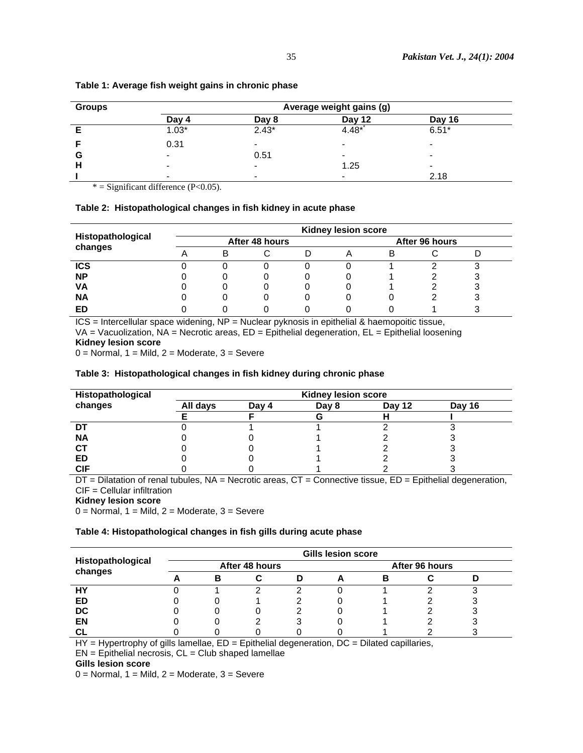| <b>Groups</b> |                          |                          | Average weight gains (g) |         |  |  |  |
|---------------|--------------------------|--------------------------|--------------------------|---------|--|--|--|
|               | Day 4                    | Day 8                    | Day 12                   | Day 16  |  |  |  |
|               | $1.03*$                  | $2.43*$                  | $4.48*$                  | $6.51*$ |  |  |  |
|               | 0.31                     | $\overline{\phantom{a}}$ | $\overline{\phantom{a}}$ |         |  |  |  |
| G             | $\overline{\phantom{a}}$ | 0.51                     | $\qquad \qquad$          | -       |  |  |  |
|               | -                        | $\blacksquare$           | 1.25                     |         |  |  |  |
|               | $\blacksquare$           | $\overline{\phantom{a}}$ | $\overline{\phantom{a}}$ | 2.18    |  |  |  |

# **Table 1: Average fish weight gains in chronic phase**

 $*$  = Significant difference (P<0.05).

### **Table 2: Histopathological changes in fish kidney in acute phase**

|                   |   |                |   | <b>Kidney lesion score</b> |                |  |  |  |
|-------------------|---|----------------|---|----------------------------|----------------|--|--|--|
| Histopathological |   | After 48 hours |   |                            | After 96 hours |  |  |  |
| changes           | в |                |   |                            | в              |  |  |  |
| <b>ICS</b>        |   |                |   |                            |                |  |  |  |
| <b>NP</b>         |   |                | U |                            |                |  |  |  |
| VA                |   |                |   |                            |                |  |  |  |
| <b>NA</b>         |   |                | O |                            |                |  |  |  |
| ED                |   |                |   |                            |                |  |  |  |

ICS = Intercellular space widening, NP = Nuclear pyknosis in epithelial & haemopoitic tissue,  $VA = Vacuolization$ ,  $NA = Necrotic areas$ ,  $ED = Epithelial degeneration$ ,  $EL = Epithelial loosening$ **Kidney lesion score** 

 $0 =$  Normal,  $1 =$  Mild,  $2 =$  Moderate,  $3 =$  Severe

# **Table 3: Histopathological changes in fish kidney during chronic phase**

| Histopathological | <b>Kidney lesion score</b> |       |        |               |  |  |  |  |  |
|-------------------|----------------------------|-------|--------|---------------|--|--|--|--|--|
| changes           | All days                   | Dav 4 | Day 12 | <b>Day 16</b> |  |  |  |  |  |
|                   |                            |       |        |               |  |  |  |  |  |
|                   |                            |       |        |               |  |  |  |  |  |
| <b>NA</b>         |                            |       |        |               |  |  |  |  |  |
| <b>CT</b>         |                            |       |        |               |  |  |  |  |  |
| ED                |                            |       |        |               |  |  |  |  |  |
| <b>CIF</b>        |                            |       |        |               |  |  |  |  |  |

DT = Dilatation of renal tubules, NA = Necrotic areas, CT = Connective tissue, ED = Epithelial degeneration, CIF = Cellular infiltration

**Kidney lesion score** 

 $0 =$  Normal,  $1 =$  Mild,  $2 =$  Moderate,  $3 =$  Severe

### **Table 4: Histopathological changes in fish gills during acute phase**

|                   |   |                | <b>Gills lesion score</b> |  |  |  |  |
|-------------------|---|----------------|---------------------------|--|--|--|--|
| Histopathological |   | After 48 hours | After 96 hours            |  |  |  |  |
| changes           | в |                |                           |  |  |  |  |
| HΥ                |   |                |                           |  |  |  |  |
| ED                |   |                |                           |  |  |  |  |
| <b>DC</b>         |   |                |                           |  |  |  |  |
| EN                |   |                |                           |  |  |  |  |
| СI                |   |                |                           |  |  |  |  |

HY = Hypertrophy of gills lamellae, ED = Epithelial degeneration, DC = Dilated capillaries,

 $EN = Epithelial necrosis, CL = Club shaped lamellae$ 

**Gills lesion score** 

 $0 =$  Normal,  $1 =$  Mild,  $2 =$  Moderate,  $3 =$  Severe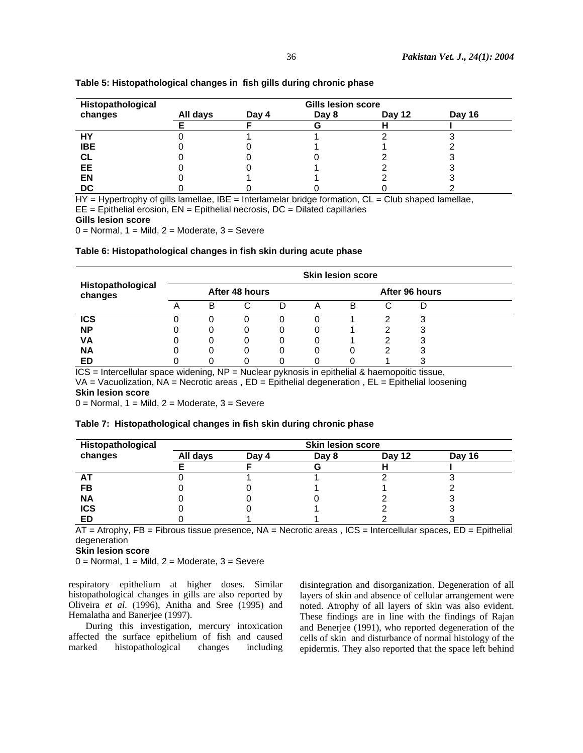| Histopathological | <b>Gills lesion score</b> |       |        |  |  |  |  |  |  |
|-------------------|---------------------------|-------|--------|--|--|--|--|--|--|
| changes           | All days                  | Day 4 | Day 16 |  |  |  |  |  |  |
|                   |                           |       |        |  |  |  |  |  |  |
| HY                |                           |       |        |  |  |  |  |  |  |
| <b>IBE</b>        |                           |       |        |  |  |  |  |  |  |
| CL                |                           |       |        |  |  |  |  |  |  |
| EE.               |                           |       |        |  |  |  |  |  |  |
| <b>EN</b>         |                           |       |        |  |  |  |  |  |  |
| <b>DC</b>         |                           |       |        |  |  |  |  |  |  |

# **Table 5: Histopathological changes in fish gills during chronic phase**

 $HY = Hypertrophy$  of gills lamellae, IBE = Interlamelar bridge formation,  $CL = Club$  shaped lamellae,  $EE = Epithelial erosion, EN = Epithelial necrosis, DC = Dilated capillaries$ 

**Gills lesion score** 

 $0 =$  Normal,  $1 =$  Mild,  $2 =$  Moderate,  $3 =$  Severe

# **Table 6: Histopathological changes in fish skin during acute phase**

| Histopathological<br>changes |                |   |   |   |  | <b>Skin lesion score</b> |   |   |  |
|------------------------------|----------------|---|---|---|--|--------------------------|---|---|--|
|                              | After 48 hours |   |   |   |  | After 96 hours           |   |   |  |
|                              |                | В | С | D |  | В                        | С |   |  |
| <b>ICS</b>                   |                |   |   |   |  |                          |   | 3 |  |
| <b>NP</b>                    |                | O |   |   |  |                          |   |   |  |
| VА                           |                | 0 | 0 |   |  |                          |   |   |  |
| <b>NA</b>                    |                | 0 | 0 |   |  |                          |   |   |  |
| ED                           |                |   |   |   |  |                          |   |   |  |

ICS = Intercellular space widening, NP = Nuclear pyknosis in epithelial & haemopoitic tissue,  $VA = Vacuolization$ ,  $NA = Necrotic areas$ ,  $ED = Epithelial degeneration$ ,  $EL = Epithelial loosening$ **Skin lesion score** 

 $0 =$  Normal,  $1 =$  Mild,  $2 =$  Moderate,  $3 =$  Severe

### **Table 7: Histopathological changes in fish skin during chronic phase**

| Histopathological | <b>Skin lesion score</b> |       |       |        |        |  |  |  |  |  |
|-------------------|--------------------------|-------|-------|--------|--------|--|--|--|--|--|
| changes           | All days                 | Day 4 | Day 8 | Day 12 | Day 16 |  |  |  |  |  |
|                   |                          |       |       |        |        |  |  |  |  |  |
| AT                |                          |       |       |        |        |  |  |  |  |  |
| FB                |                          |       |       |        |        |  |  |  |  |  |
| <b>NA</b>         |                          |       |       |        |        |  |  |  |  |  |
| <b>ICS</b>        |                          |       |       |        |        |  |  |  |  |  |
| <b>ED</b>         |                          |       |       |        |        |  |  |  |  |  |

AT = Atrophy, FB = Fibrous tissue presence, NA = Necrotic areas , ICS = Intercellular spaces, ED = Epithelial degeneration

**Skin lesion score** 

 $0 =$  Normal,  $1 =$  Mild,  $2 =$  Moderate,  $3 =$  Severe

respiratory epithelium at higher doses. Similar histopathological changes in gills are also reported by Oliveira *et al*. (1996), Anitha and Sree (1995) and Hemalatha and Banerjee (1997).

During this investigation, mercury intoxication affected the surface epithelium of fish and caused marked histopathological changes including

disintegration and disorganization. Degeneration of all layers of skin and absence of cellular arrangement were noted. Atrophy of all layers of skin was also evident. These findings are in line with the findings of Rajan and Benerjee (1991), who reported degeneration of the cells of skin and disturbance of normal histology of the epidermis. They also reported that the space left behind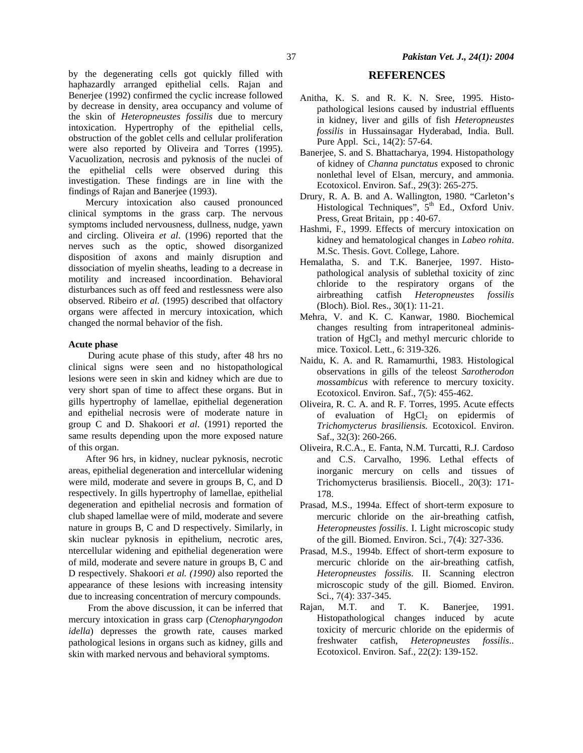by the degenerating cells got quickly filled with haphazardly arranged epithelial cells. Rajan and Benerjee (1992) confirmed the cyclic increase followed by decrease in density, area occupancy and volume of the skin of *Heteropneustes fossilis* due to mercury intoxication. Hypertrophy of the epithelial cells, obstruction of the goblet cells and cellular proliferation were also reported by Oliveira and Torres (1995). Vacuolization, necrosis and pyknosis of the nuclei of the epithelial cells were observed during this investigation. These findings are in line with the findings of Rajan and Banerjee (1993).

Mercury intoxication also caused pronounced clinical symptoms in the grass carp. The nervous symptoms included nervousness, dullness, nudge, yawn and circling. Oliveira *et al*. (1996) reported that the nerves such as the optic, showed disorganized disposition of axons and mainly disruption and dissociation of myelin sheaths, leading to a decrease in motility and increased incoordination. Behavioral disturbances such as off feed and restlessness were also observed. Ribeiro *et al.* (1995) described that olfactory organs were affected in mercury intoxication, which changed the normal behavior of the fish.

### **Acute phase**

During acute phase of this study, after 48 hrs no clinical signs were seen and no histopathological lesions were seen in skin and kidney which are due to very short span of time to affect these organs. But in gills hypertrophy of lamellae, epithelial degeneration and epithelial necrosis were of moderate nature in group C and D. Shakoori *et al*. (1991) reported the same results depending upon the more exposed nature of this organ.

After 96 hrs, in kidney, nuclear pyknosis, necrotic areas, epithelial degeneration and intercellular widening were mild, moderate and severe in groups B, C, and D respectively. In gills hypertrophy of lamellae, epithelial degeneration and epithelial necrosis and formation of club shaped lamellae were of mild, moderate and severe nature in groups B, C and D respectively. Similarly, in skin nuclear pyknosis in epithelium, necrotic ares, ntercellular widening and epithelial degeneration were of mild, moderate and severe nature in groups B, C and D respectively. Shakoori *et al. (1990)* also reported the appearance of these lesions with increasing intensity due to increasing concentration of mercury compounds.

From the above discussion, it can be inferred that mercury intoxication in grass carp (*Ctenopharyngodon idella*) depresses the growth rate, causes marked pathological lesions in organs such as kidney, gills and skin with marked nervous and behavioral symptoms.

# **REFERENCES**

- Anitha, K. S. and R. K. N. Sree, 1995. Histopathological lesions caused by industrial effluents in kidney, liver and gills of fish *Heteropneustes fossilis* in Hussainsagar Hyderabad, India. Bull*.*  Pure Appl. Sci*.,* 14(2): 57-64.
- Banerjee, S. and S. Bhattacharya, 1994. Histopathology of kidney of *Channa punctatus* exposed to chronic nonlethal level of Elsan, mercury, and ammonia. Ecotoxicol. Environ. Saf., 29(3): 265-275.
- Drury, R. A. B. and A. Wallington, 1980. "Carleton's Histological Techniques",  $5<sup>th</sup>$  Ed., Oxford Univ. Press, Great Britain, pp : 40-67.
- Hashmi, F., 1999. Effects of mercury intoxication on kidney and hematological changes in *Labeo rohita*. M.Sc. Thesis. Govt. College, Lahore.
- Hemalatha, S. and T.K. Banerjee, 1997. Histopathological analysis of sublethal toxicity of zinc chloride to the respiratory organs of the airbreathing catfish *Heteropneustes fossilis*  (Bloch). Biol. Res., 30(1): 11-21.
- Mehra, V. and K. C. Kanwar, 1980. Biochemical changes resulting from intraperitoneal administration of  $HgCl<sub>2</sub>$  and methyl mercuric chloride to mice. Toxicol. Lett., 6: 319-326.
- Naidu, K. A. and R. Ramamurthi, 1983. Histological observations in gills of the teleost *Sarotherodon mossambicus* with reference to mercury toxicity. Ecotoxicol. Environ. Saf., 7(5): 455-462.
- Oliveira, R. C. A. and R. F. Torres, 1995. Acute effects of evaluation of  $HgCl<sub>2</sub>$  on epidermis of *Trichomycterus brasiliensis.* Ecotoxicol. Environ. Saf., 32(3): 260-266.
- Oliveira, R.C.A., E. Fanta, N.M. Turcatti, R.J. Cardoso and C.S. Carvalho, 1996. Lethal effects of inorganic mercury on cells and tissues of Trichomycterus brasiliensis. Biocell., 20(3): 171- 178.
- Prasad, M.S., 1994a. Effect of short-term exposure to mercuric chloride on the air-breathing catfish, *Heteropneustes fossilis*. I. Light microscopic study of the gill. Biomed. Environ. Sci., 7(4): 327-336.
- Prasad, M.S., 1994b. Effect of short-term exposure to mercuric chloride on the air-breathing catfish, *Heteropneustes fossilis*. II. Scanning electron microscopic study of the gill. Biomed. Environ. Sci., 7(4): 337-345.
- Rajan, M.T. and T. K. Banerjee, 1991. Histopathological changes induced by acute toxicity of mercuric chloride on the epidermis of freshwater catfish, *Heteropneustes fossilis*.. Ecotoxicol. Environ. Saf., 22(2): 139-152.